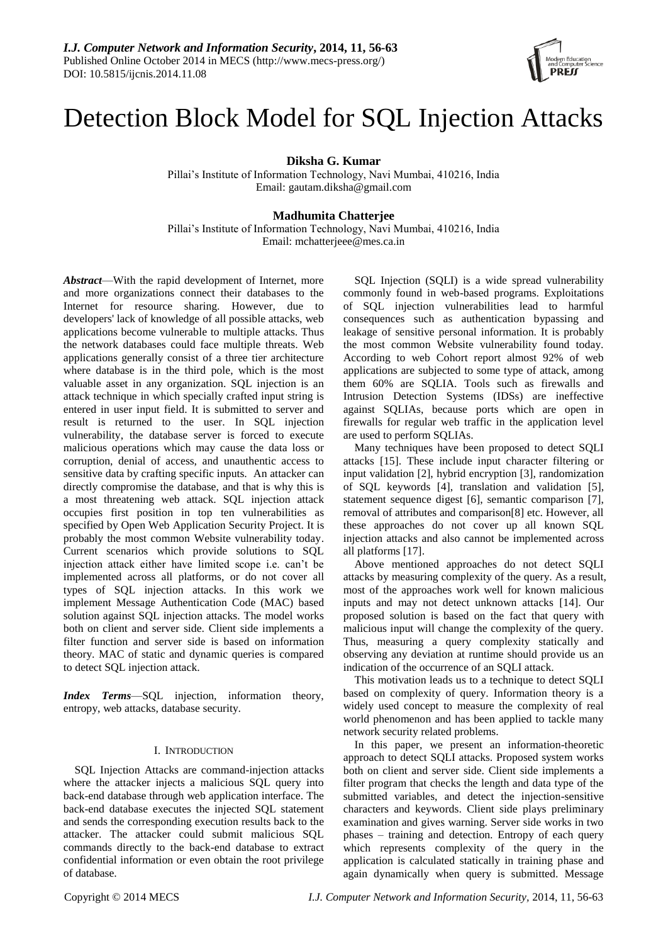

# Detection Block Model for SQL Injection Attacks

**Diksha G. Kumar**

Pillai's Institute of Information Technology, Navi Mumbai, 410216, India Email: gautam.diksha@gmail.com

# **Madhumita Chatterjee**

Pillai's Institute of Information Technology, Navi Mumbai, 410216, India Email: mchatterjeee@mes.ca.in

*Abstract*—With the rapid development of Internet, more and more organizations connect their databases to the Internet for resource sharing. However, due to developers' lack of knowledge of all possible attacks, web applications become vulnerable to multiple attacks. Thus the network databases could face multiple threats. Web applications generally consist of a three tier architecture where database is in the third pole, which is the most valuable asset in any organization. SQL injection is an attack technique in which specially crafted input string is entered in user input field. It is submitted to server and result is returned to the user. In SQL injection vulnerability, the database server is forced to execute malicious operations which may cause the data loss or corruption, denial of access, and unauthentic access to sensitive data by crafting specific inputs. An attacker can directly compromise the database, and that is why this is a most threatening web attack. SQL injection attack occupies first position in top ten vulnerabilities as specified by Open Web Application Security Project. It is probably the most common Website vulnerability today. Current scenarios which provide solutions to SQL injection attack either have limited scope i.e. can't be implemented across all platforms, or do not cover all types of SQL injection attacks. In this work we implement Message Authentication Code (MAC) based solution against SQL injection attacks. The model works both on client and server side. Client side implements a filter function and server side is based on information theory. MAC of static and dynamic queries is compared to detect SQL injection attack.

*Index Terms*—SQL injection, information theory, entropy, web attacks, database security.

# I. INTRODUCTION

SQL Injection Attacks are command-injection attacks where the attacker injects a malicious SQL query into back-end database through web application interface. The back-end database executes the injected SQL statement and sends the corresponding execution results back to the attacker. The attacker could submit malicious SQL commands directly to the back-end database to extract confidential information or even obtain the root privilege of database.

SQL Injection (SQLI) is a wide spread vulnerability commonly found in web-based programs. Exploitations of SQL injection vulnerabilities lead to harmful consequences such as authentication bypassing and leakage of sensitive personal information. It is probably the most common Website vulnerability found today. According to web Cohort report almost 92% of web applications are subjected to some type of attack, among them 60% are SQLIA. Tools such as firewalls and Intrusion Detection Systems (IDSs) are ineffective against SQLIAs, because ports which are open in firewalls for regular web traffic in the application level are used to perform SQLIAs.

Many techniques have been proposed to detect SQLI attacks [15]. These include input character filtering or input validation [2], hybrid encryption [3], randomization of SQL keywords [4], translation and validation [5], statement sequence digest [6], semantic comparison [7], removal of attributes and comparison[8] etc. However, all these approaches do not cover up all known SQL injection attacks and also cannot be implemented across all platforms [17].

Above mentioned approaches do not detect SQLI attacks by measuring complexity of the query. As a result, most of the approaches work well for known malicious inputs and may not detect unknown attacks [14]. Our proposed solution is based on the fact that query with malicious input will change the complexity of the query. Thus, measuring a query complexity statically and observing any deviation at runtime should provide us an indication of the occurrence of an SQLI attack.

This motivation leads us to a technique to detect SQLI based on complexity of query. Information theory is a widely used concept to measure the complexity of real world phenomenon and has been applied to tackle many network security related problems.

In this paper, we present an information-theoretic approach to detect SQLI attacks. Proposed system works both on client and server side. Client side implements a filter program that checks the length and data type of the submitted variables, and detect the injection-sensitive characters and keywords. Client side plays preliminary examination and gives warning. Server side works in two phases – training and detection. Entropy of each query which represents complexity of the query in the application is calculated statically in training phase and again dynamically when query is submitted. Message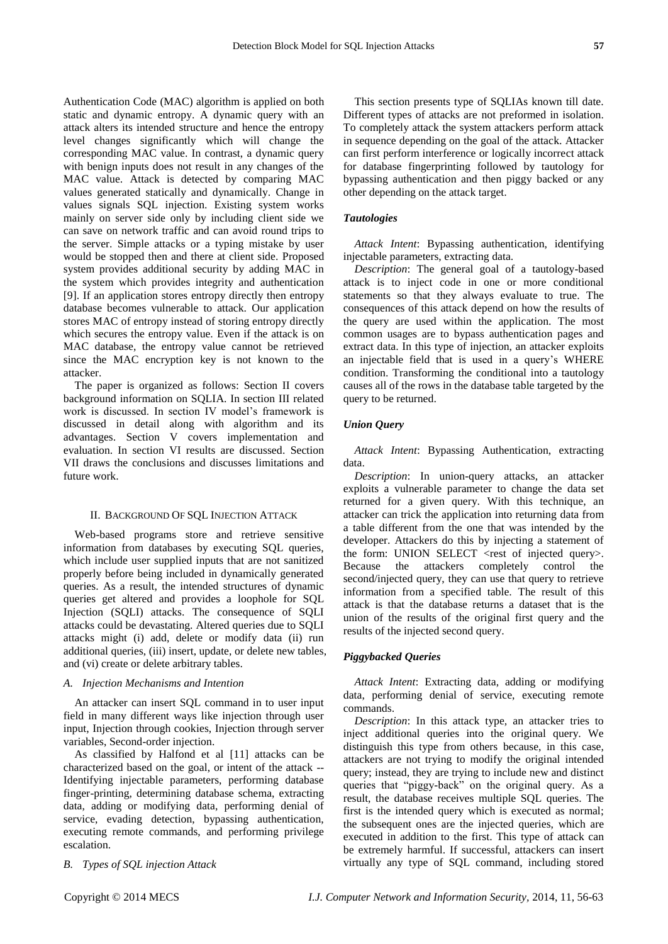Authentication Code (MAC) algorithm is applied on both static and dynamic entropy. A dynamic query with an attack alters its intended structure and hence the entropy level changes significantly which will change the corresponding MAC value. In contrast, a dynamic query with benign inputs does not result in any changes of the MAC value. Attack is detected by comparing MAC values generated statically and dynamically. Change in values signals SQL injection. Existing system works mainly on server side only by including client side we can save on network traffic and can avoid round trips to the server. Simple attacks or a typing mistake by user would be stopped then and there at client side. Proposed system provides additional security by adding MAC in the system which provides integrity and authentication [9]. If an application stores entropy directly then entropy database becomes vulnerable to attack. Our application stores MAC of entropy instead of storing entropy directly which secures the entropy value. Even if the attack is on MAC database, the entropy value cannot be retrieved since the MAC encryption key is not known to the attacker.

The paper is organized as follows: Section II covers background information on SQLIA. In section III related work is discussed. In section IV model's framework is discussed in detail along with algorithm and its advantages. Section V covers implementation and evaluation. In section VI results are discussed. Section VII draws the conclusions and discusses limitations and future work.

## II. BACKGROUND OF SQL INJECTION ATTACK

Web-based programs store and retrieve sensitive information from databases by executing SQL queries, which include user supplied inputs that are not sanitized properly before being included in dynamically generated queries. As a result, the intended structures of dynamic queries get altered and provides a loophole for SQL Injection (SQLI) attacks. The consequence of SQLI attacks could be devastating. Altered queries due to SQLI attacks might (i) add, delete or modify data (ii) run additional queries, (iii) insert, update, or delete new tables, and (vi) create or delete arbitrary tables.

## *A. Injection Mechanisms and Intention*

An attacker can insert SQL command in to user input field in many different ways like injection through user input, Injection through cookies, Injection through server variables, Second-order injection.

As classified by Halfond et al [11] attacks can be characterized based on the goal, or intent of the attack -- Identifying injectable parameters, performing database finger-printing, determining database schema, extracting data, adding or modifying data, performing denial of service, evading detection, bypassing authentication, executing remote commands, and performing privilege escalation.

*B. Types of SQL injection Attack*

This section presents type of SQLIAs known till date. Different types of attacks are not preformed in isolation. To completely attack the system attackers perform attack in sequence depending on the goal of the attack. Attacker can first perform interference or logically incorrect attack for database fingerprinting followed by tautology for bypassing authentication and then piggy backed or any other depending on the attack target.

# *Tautologies*

*Attack Intent*: Bypassing authentication, identifying injectable parameters, extracting data.

*Description*: The general goal of a tautology-based attack is to inject code in one or more conditional statements so that they always evaluate to true. The consequences of this attack depend on how the results of the query are used within the application. The most common usages are to bypass authentication pages and extract data. In this type of injection, an attacker exploits an injectable field that is used in a query's WHERE condition. Transforming the conditional into a tautology causes all of the rows in the database table targeted by the query to be returned.

# *Union Query*

*Attack Intent*: Bypassing Authentication, extracting data.

*Description*: In union-query attacks, an attacker exploits a vulnerable parameter to change the data set returned for a given query. With this technique, an attacker can trick the application into returning data from a table different from the one that was intended by the developer. Attackers do this by injecting a statement of the form: UNION SELECT  $\le$ rest of injected query>. Because the attackers completely control the second/injected query, they can use that query to retrieve information from a specified table. The result of this attack is that the database returns a dataset that is the union of the results of the original first query and the results of the injected second query.

# *Piggybacked Queries*

*Attack Intent*: Extracting data, adding or modifying data, performing denial of service, executing remote commands.

*Description*: In this attack type, an attacker tries to inject additional queries into the original query. We distinguish this type from others because, in this case, attackers are not trying to modify the original intended query; instead, they are trying to include new and distinct queries that "piggy-back" on the original query. As a result, the database receives multiple SQL queries. The first is the intended query which is executed as normal; the subsequent ones are the injected queries, which are executed in addition to the first. This type of attack can be extremely harmful. If successful, attackers can insert virtually any type of SQL command, including stored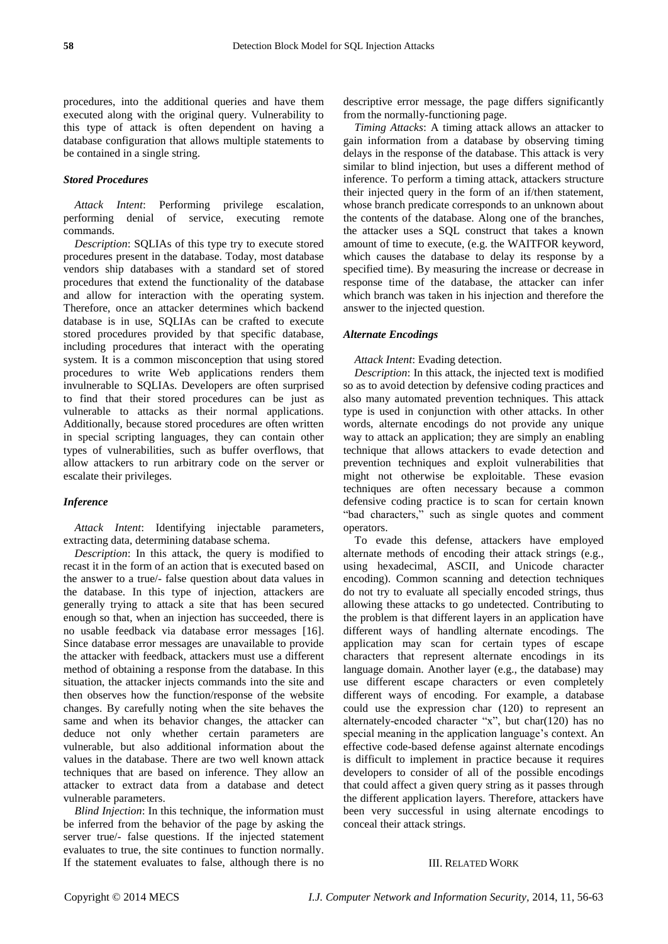procedures, into the additional queries and have them executed along with the original query. Vulnerability to this type of attack is often dependent on having a database configuration that allows multiple statements to be contained in a single string.

# *Stored Procedures*

*Attack Intent*: Performing privilege escalation, performing denial of service, executing remote commands.

*Description*: SQLIAs of this type try to execute stored procedures present in the database. Today, most database vendors ship databases with a standard set of stored procedures that extend the functionality of the database and allow for interaction with the operating system. Therefore, once an attacker determines which backend database is in use, SQLIAs can be crafted to execute stored procedures provided by that specific database, including procedures that interact with the operating system. It is a common misconception that using stored procedures to write Web applications renders them invulnerable to SQLIAs. Developers are often surprised to find that their stored procedures can be just as vulnerable to attacks as their normal applications. Additionally, because stored procedures are often written in special scripting languages, they can contain other types of vulnerabilities, such as buffer overflows, that allow attackers to run arbitrary code on the server or escalate their privileges.

## *Inference*

*Attack Intent*: Identifying injectable parameters, extracting data, determining database schema.

*Description*: In this attack, the query is modified to recast it in the form of an action that is executed based on the answer to a true/- false question about data values in the database. In this type of injection, attackers are generally trying to attack a site that has been secured enough so that, when an injection has succeeded, there is no usable feedback via database error messages [16]. Since database error messages are unavailable to provide the attacker with feedback, attackers must use a different method of obtaining a response from the database. In this situation, the attacker injects commands into the site and then observes how the function/response of the website changes. By carefully noting when the site behaves the same and when its behavior changes, the attacker can deduce not only whether certain parameters are vulnerable, but also additional information about the values in the database. There are two well known attack techniques that are based on inference. They allow an attacker to extract data from a database and detect vulnerable parameters.

*Blind Injection*: In this technique, the information must be inferred from the behavior of the page by asking the server true/- false questions. If the injected statement evaluates to true, the site continues to function normally. If the statement evaluates to false, although there is no descriptive error message, the page differs significantly from the normally-functioning page.

*Timing Attacks*: A timing attack allows an attacker to gain information from a database by observing timing delays in the response of the database. This attack is very similar to blind injection, but uses a different method of inference. To perform a timing attack, attackers structure their injected query in the form of an if/then statement, whose branch predicate corresponds to an unknown about the contents of the database. Along one of the branches, the attacker uses a SQL construct that takes a known amount of time to execute, (e.g. the WAITFOR keyword, which causes the database to delay its response by a specified time). By measuring the increase or decrease in response time of the database, the attacker can infer which branch was taken in his injection and therefore the answer to the injected question.

## *Alternate Encodings*

*Attack Intent*: Evading detection.

*Description*: In this attack, the injected text is modified so as to avoid detection by defensive coding practices and also many automated prevention techniques. This attack type is used in conjunction with other attacks. In other words, alternate encodings do not provide any unique way to attack an application; they are simply an enabling technique that allows attackers to evade detection and prevention techniques and exploit vulnerabilities that might not otherwise be exploitable. These evasion techniques are often necessary because a common defensive coding practice is to scan for certain known "bad characters," such as single quotes and comment operators.

To evade this defense, attackers have employed alternate methods of encoding their attack strings (e.g., using hexadecimal, ASCII, and Unicode character encoding). Common scanning and detection techniques do not try to evaluate all specially encoded strings, thus allowing these attacks to go undetected. Contributing to the problem is that different layers in an application have different ways of handling alternate encodings. The application may scan for certain types of escape characters that represent alternate encodings in its language domain. Another layer (e.g., the database) may use different escape characters or even completely different ways of encoding. For example, a database could use the expression char (120) to represent an alternately-encoded character "x", but char(120) has no special meaning in the application language's context. An effective code-based defense against alternate encodings is difficult to implement in practice because it requires developers to consider of all of the possible encodings that could affect a given query string as it passes through the different application layers. Therefore, attackers have been very successful in using alternate encodings to conceal their attack strings.

# III. RELATED WORK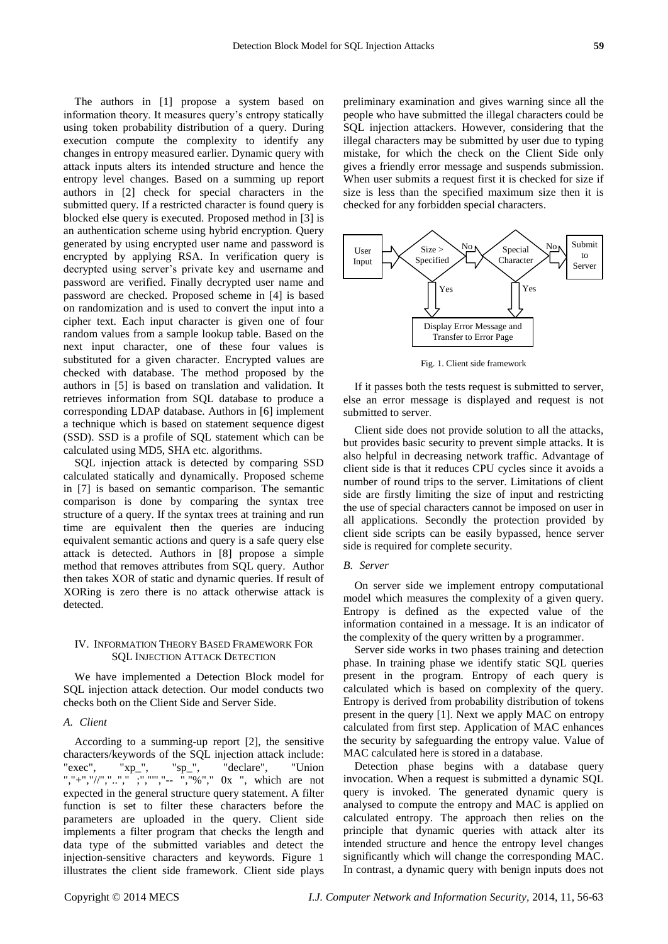The authors in [1] propose a system based on information theory. It measures query's entropy statically using token probability distribution of a query. During execution compute the complexity to identify any changes in entropy measured earlier. Dynamic query with attack inputs alters its intended structure and hence the entropy level changes. Based on a summing up report authors in [2] check for special characters in the submitted query. If a restricted character is found query is blocked else query is executed. Proposed method in [3] is an authentication scheme using hybrid encryption. Query generated by using encrypted user name and password is encrypted by applying RSA. In verification query is decrypted using server's private key and username and password are verified. Finally decrypted user name and password are checked. Proposed scheme in [4] is based on randomization and is used to convert the input into a cipher text. Each input character is given one of four random values from a sample lookup table. Based on the next input character, one of these four values is substituted for a given character. Encrypted values are checked with database. The method proposed by the authors in [5] is based on translation and validation. It retrieves information from SQL database to produce a corresponding LDAP database. Authors in [6] implement a technique which is based on statement sequence digest (SSD). SSD is a profile of SQL statement which can be calculated using MD5, SHA etc. algorithms.

SQL injection attack is detected by comparing SSD calculated statically and dynamically. Proposed scheme in [7] is based on semantic comparison. The semantic comparison is done by comparing the syntax tree structure of a query. If the syntax trees at training and run time are equivalent then the queries are inducing equivalent semantic actions and query is a safe query else attack is detected. Authors in [8] propose a simple method that removes attributes from SQL query. Author then takes XOR of static and dynamic queries. If result of XORing is zero there is no attack otherwise attack is detected.

# IV. INFORMATION THEORY BASED FRAMEWORK FOR SQL INJECTION ATTACK DETECTION

We have implemented a Detection Block model for SQL injection attack detection. Our model conducts two checks both on the Client Side and Server Side.

# *A. Client*

According to a summing-up report [2], the sensitive characters/keywords of the SQL injection attack include: "exec", "xp\_", "sp\_", "declare", "Union ","+","//","..."," ;",""","-- ","%"," 0x ", which are not expected in the general structure query statement. A filter function is set to filter these characters before the parameters are uploaded in the query. Client side implements a filter program that checks the length and data type of the submitted variables and detect the injection-sensitive characters and keywords. Figure 1 illustrates the client side framework. Client side plays

preliminary examination and gives warning since all the people who have submitted the illegal characters could be SQL injection attackers. However, considering that the illegal characters may be submitted by user due to typing mistake, for which the check on the Client Side only gives a friendly error message and suspends submission. When user submits a request first it is checked for size if size is less than the specified maximum size then it is checked for any forbidden special characters.



Fig. 1. Client side framework

If it passes both the tests request is submitted to server, else an error message is displayed and request is not submitted to server.

Client side does not provide solution to all the attacks, but provides basic security to prevent simple attacks. It is also helpful in decreasing network traffic. Advantage of client side is that it reduces CPU cycles since it avoids a number of round trips to the server. Limitations of client side are firstly limiting the size of input and restricting the use of special characters cannot be imposed on user in all applications. Secondly the protection provided by client side scripts can be easily bypassed, hence server side is required for complete security.

## *B. Server*

On server side we implement entropy computational model which measures the complexity of a given query. Entropy is defined as the expected value of the information contained in a message. It is an indicator of the complexity of the query written by a programmer.

Server side works in two phases training and detection phase. In training phase we identify static SQL queries present in the program. Entropy of each query is calculated which is based on complexity of the query. Entropy is derived from probability distribution of tokens present in the query [1]. Next we apply MAC on entropy calculated from first step. Application of MAC enhances the security by safeguarding the entropy value. Value of MAC calculated here is stored in a database.

Detection phase begins with a database query invocation. When a request is submitted a dynamic SQL query is invoked. The generated dynamic query is analysed to compute the entropy and MAC is applied on calculated entropy. The approach then relies on the principle that dynamic queries with attack alter its intended structure and hence the entropy level changes significantly which will change the corresponding MAC. In contrast, a dynamic query with benign inputs does not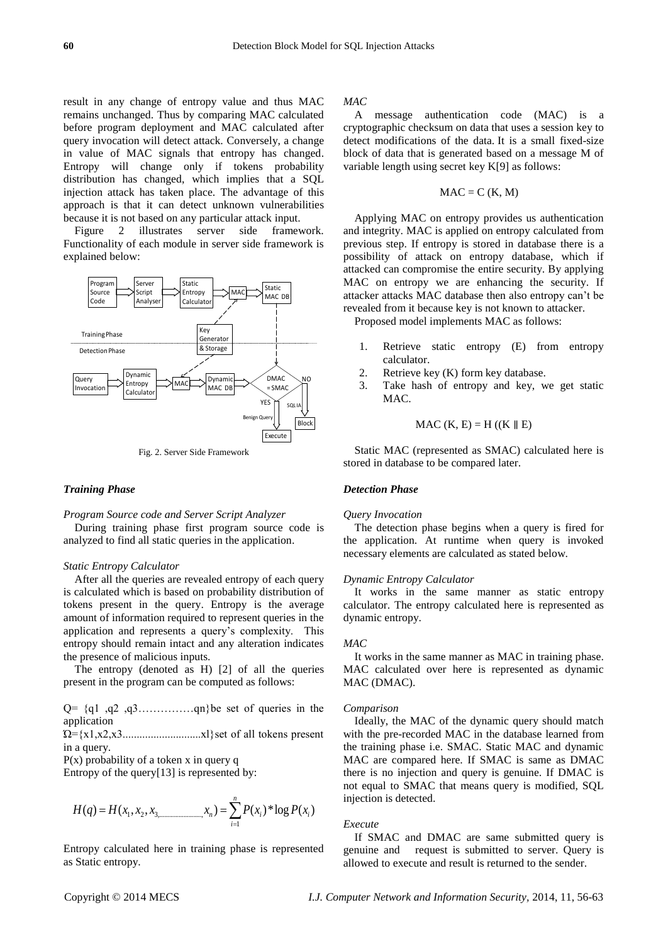result in any change of entropy value and thus MAC remains unchanged. Thus by comparing MAC calculated before program deployment and MAC calculated after query invocation will detect attack. Conversely, a change in value of MAC signals that entropy has changed. Entropy will change only if tokens probability distribution has changed, which implies that a SQL injection attack has taken place. The advantage of this approach is that it can detect unknown vulnerabilities because it is not based on any particular attack input.

Figure 2 illustrates server side framework. Functionality of each module in server side framework is explained below:



Fig. 2. Server Side Framework

# *Training Phase*

#### *Program Source code and Server Script Analyzer*

During training phase first program source code is analyzed to find all static queries in the application.

# *Static Entropy Calculator*

After all the queries are revealed entropy of each query is calculated which is based on probability distribution of tokens present in the query. Entropy is the average amount of information required to represent queries in the application and represents a query's complexity. This entropy should remain intact and any alteration indicates the presence of malicious inputs.

The entropy (denoted as H) [2] of all the queries present in the program can be computed as follows:

 $Q = \{q_1, q_2, q_3, \ldots, q_n\}$ be set of queries in the application

 $\Omega = \{x1, x2, x3. \dots \dots \dots \dots \dots \dots x\}$ set of all tokens present in a query.

 $P(x)$  probability of a token x in query q

Entropy of the query[13] is represented by:

$$
H(q) = H(x_1, x_2, x_3 \dots \dots \dots \dots \dots x_n) = \sum_{i=1}^{n} P(x_i)^* \log P(x_i)
$$

Entropy calculated here in training phase is represented as Static entropy.

# *MAC*

A message authentication code (MAC) is a [cryptographic checksum](http://searchsecurity.techtarget.com/definition/cryptographic-checksum) on data that uses a [session key](http://searchsecurity.techtarget.com/definition/session-key) to detect modifications of the data. It is a small fixed-size block of data that is generated based on a message M of variable length using secret key K[9] as follows:

$$
MAC = C (K, M)
$$

Applying MAC on entropy provides us authentication and integrity. MAC is applied on entropy calculated from previous step. If entropy is stored in database there is a possibility of attack on entropy database, which if attacked can compromise the entire security. By applying MAC on entropy we are enhancing the security. If attacker attacks MAC database then also entropy can't be revealed from it because key is not known to attacker.

Proposed model implements MAC as follows:

- 1. Retrieve static entropy (E) from entropy calculator.
- 2. Retrieve key (K) form key database.
- 3. Take hash of entropy and key, we get static MAC.

$$
MAC (K, E) = H ((K \parallel E))
$$

Static MAC (represented as SMAC) calculated here is stored in database to be compared later.

# *Detection Phase*

#### *Query Invocation*

The detection phase begins when a query is fired for the application. At runtime when query is invoked necessary elements are calculated as stated below.

## *Dynamic Entropy Calculator*

It works in the same manner as static entropy calculator. The entropy calculated here is represented as dynamic entropy.

## *MAC*

It works in the same manner as MAC in training phase. MAC calculated over here is represented as dynamic MAC (DMAC).

## *Comparison*

Ideally, the MAC of the dynamic query should match with the pre-recorded MAC in the database learned from the training phase i.e. SMAC. Static MAC and dynamic MAC are compared here. If SMAC is same as DMAC there is no injection and query is genuine. If DMAC is not equal to SMAC that means query is modified, SQL injection is detected.

## *Execute*

If SMAC and DMAC are same submitted query is genuine and request is submitted to server. Query is allowed to execute and result is returned to the sender.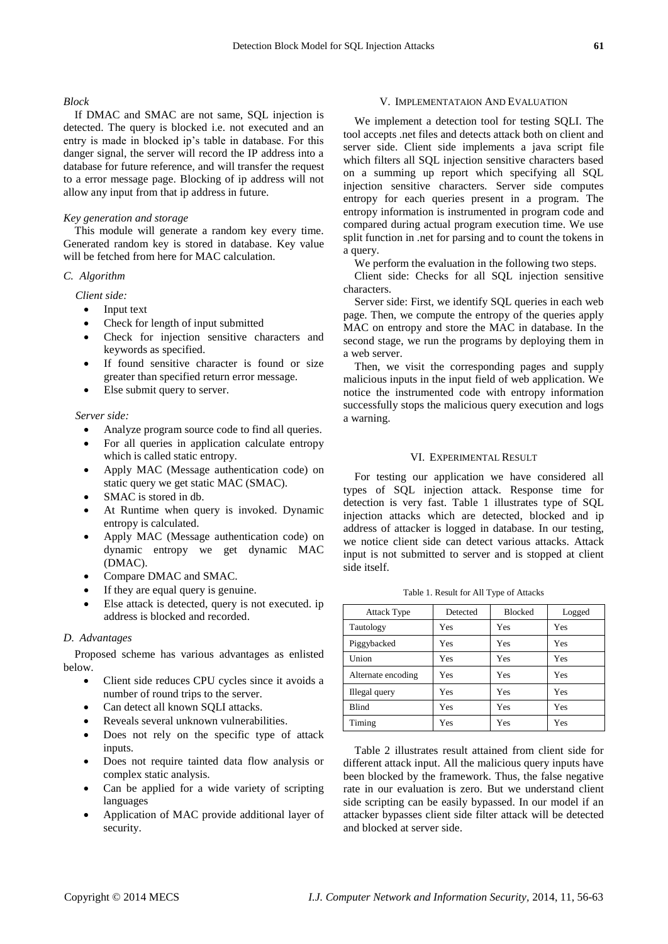## *Block*

If DMAC and SMAC are not same, SQL injection is detected. The query is blocked i.e. not executed and an entry is made in blocked ip's table in database. For this danger signal, the server will record the IP address into a database for future reference, and will transfer the request to a error message page. Blocking of ip address will not allow any input from that ip address in future.

# *Key generation and storage*

This module will generate a random key every time. Generated random key is stored in database. Key value will be fetched from here for MAC calculation.

# *C. Algorithm*

*Client side:*

- Input text
- Check for length of input submitted
- Check for injection sensitive characters and keywords as specified.
- If found sensitive character is found or size greater than specified return error message.
- Else submit query to server.

### *Server side:*

- Analyze program source code to find all queries.
- For all queries in application calculate entropy which is called static entropy.
- Apply MAC (Message authentication code) on static query we get static MAC (SMAC).
- SMAC is stored in db.
- At Runtime when query is invoked. Dynamic entropy is calculated.
- Apply MAC (Message authentication code) on dynamic entropy we get dynamic MAC (DMAC).
- Compare DMAC and SMAC.
- If they are equal query is genuine.
- Else attack is detected, query is not executed. ip address is blocked and recorded.

## *D. Advantages*

Proposed scheme has various advantages as enlisted below.

- Client side reduces CPU cycles since it avoids a number of round trips to the server.
- Can detect all known SQLI attacks.
- Reveals several unknown vulnerabilities.
- Does not rely on the specific type of attack inputs.
- Does not require tainted data flow analysis or complex static analysis.
- Can be applied for a wide variety of scripting languages
- Application of MAC provide additional layer of security.

# V. IMPLEMENTATAION AND EVALUATION

We implement a detection tool for testing SQLI. The tool accepts .net files and detects attack both on client and server side. Client side implements a java script file which filters all SQL injection sensitive characters based on a summing up report which specifying all SQL injection sensitive characters. Server side computes entropy for each queries present in a program. The entropy information is instrumented in program code and compared during actual program execution time. We use split function in .net for parsing and to count the tokens in a query.

We perform the evaluation in the following two steps.

Client side: Checks for all SQL injection sensitive characters.

Server side: First, we identify SQL queries in each web page. Then, we compute the entropy of the queries apply MAC on entropy and store the MAC in database. In the second stage, we run the programs by deploying them in a web server.

Then, we visit the corresponding pages and supply malicious inputs in the input field of web application. We notice the instrumented code with entropy information successfully stops the malicious query execution and logs a warning.

## VI. EXPERIMENTAL RESULT

For testing our application we have considered all types of SQL injection attack. Response time for detection is very fast. Table 1 illustrates type of SQL injection attacks which are detected, blocked and ip address of attacker is logged in database. In our testing, we notice client side can detect various attacks. Attack input is not submitted to server and is stopped at client side itself.

Table 1. Result for All Type of Attacks

| <b>Attack Type</b> | Detected | <b>Blocked</b> | Logged |
|--------------------|----------|----------------|--------|
| Tautology          | Yes      | Yes            | Yes    |
| Piggybacked        | Yes      | Yes            | Yes    |
| Union              | Yes      | Yes            | Yes    |
| Alternate encoding | Yes      | Yes            | Yes    |
| Illegal query      | Yes      | Yes            | Yes    |
| <b>Blind</b>       | Yes      | Yes            | Yes    |
| Timing             | Yes      | Yes            | Yes    |

Table 2 illustrates result attained from client side for different attack input. All the malicious query inputs have been blocked by the framework. Thus, the false negative rate in our evaluation is zero. But we understand client side scripting can be easily bypassed. In our model if an attacker bypasses client side filter attack will be detected and blocked at server side.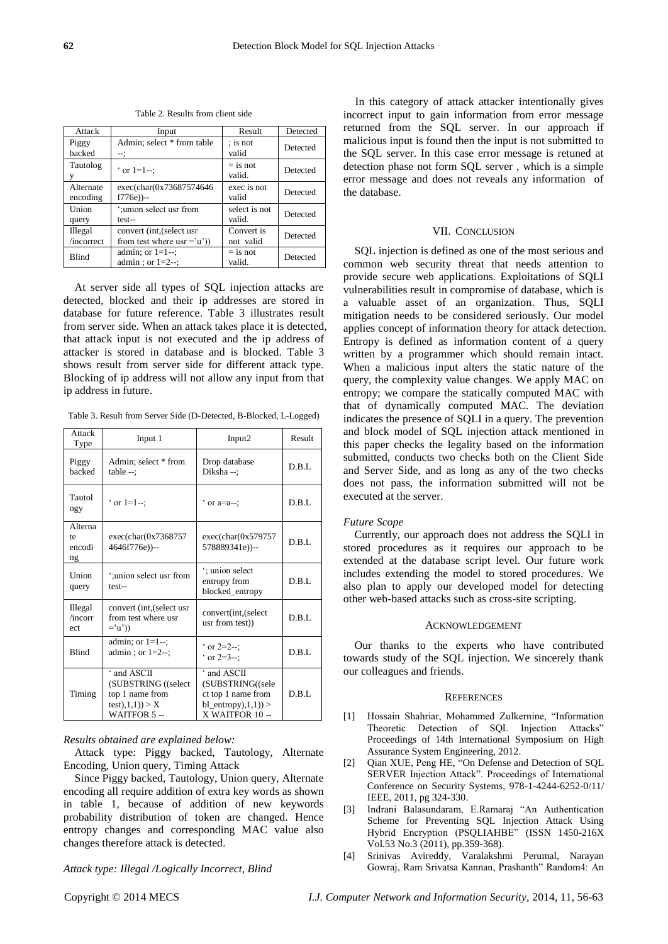|  | Attack                | Input                                                      | Result                  | Detected |
|--|-----------------------|------------------------------------------------------------|-------------------------|----------|
|  | Piggy<br>backed       | Admin; select * from table<br>-∹                           | ; is not<br>valid       | Detected |
|  | Tautolog<br>y         | $\circ$ or 1=1- $:$                                        | $=$ is not<br>valid.    | Detected |
|  | Alternate<br>encoding | exec(char(0x73687574646<br>$f776e)$ )--                    | exec is not<br>valid    | Detected |
|  | Union<br>query        | ':union select usr from<br>test--                          | select is not<br>valid. | Detected |
|  | Illegal<br>/incorrect | convert (int, (select usr)<br>from test where $usr = 'u')$ | Convert is<br>not valid | Detected |
|  | <b>Blind</b>          | admin; or $1=1-$ ;<br>admin; or $1=2-$ :                   | $=$ is not<br>valid.    | Detected |

Table 2. Results from client side

At server side all types of SQL injection attacks are detected, blocked and their ip addresses are stored in database for future reference. Table 3 illustrates result from server side. When an attack takes place it is detected, that attack input is not executed and the ip address of attacker is stored in database and is blocked. Table 3 shows result from server side for different attack type. Blocking of ip address will not allow any input from that ip address in future.

Table 3. Result from Server Side (D-Detected, B-Blocked, L-Logged)

| Attack<br>Type                | Input 1                                                                                   | Input2                                                                                          | Result |
|-------------------------------|-------------------------------------------------------------------------------------------|-------------------------------------------------------------------------------------------------|--------|
| Piggy<br>backed               | Admin; select * from<br>$table -:$                                                        | Drop database<br>Diksha-:                                                                       | D.B.I. |
| Tautol<br>ogy                 | $\circ$ or 1=1-;                                                                          | $\degree$ or a=a--;                                                                             | D.B.I. |
| Alterna<br>te<br>encodi<br>ng | exec(char(0x7368757<br>4646f776e))--                                                      | exec(char(0x579757<br>578889341e))--                                                            | D.B.L  |
| Union<br>query                | "; union select usr from<br>test--                                                        | : union select<br>entropy from<br>blocked_entropy                                               | D.B.I. |
| Illegal<br>/incorr<br>ect     | convert (int, (select usr<br>from test where usr<br>$=$ 'u')                              | convert(int,(select)<br>usr from test))                                                         | D.B.L  |
| <b>Blind</b>                  | admin; or $1=1-$ ;<br>admin; or $1=2-$ ;                                                  | $\cdot$ or 2=2--;<br>$\circ$ or 2=3--:                                                          | D.B.I. |
| Timing                        | ' and ASCII<br>(SUBSTRING ((select<br>top 1 name from<br>test(1,1,1)) > X<br>WAITFOR 5 -- | ' and ASCII<br>(SUBSTRING((sele<br>ct top 1 name from<br>$bl\_entropy(1,1))$<br>X WAITFOR 10 -- | D.B.I. |

## *Results obtained are explained below:*

Attack type: Piggy backed, Tautology, Alternate Encoding, Union query, Timing Attack

Since Piggy backed, Tautology, Union query, Alternate encoding all require addition of extra key words as shown in table 1, because of addition of new keywords probability distribution of token are changed. Hence entropy changes and corresponding MAC value also changes therefore attack is detected.

*Attack type: Illegal /Logically Incorrect, Blind*

In this category of attack attacker intentionally gives incorrect input to gain information from error message returned from the SQL server. In our approach if malicious input is found then the input is not submitted to the SQL server. In this case error message is retuned at detection phase not form SQL server , which is a simple error message and does not reveals any information of the database.

#### VII. CONCLUSION

SQL injection is defined as one of the most serious and common web security threat that needs attention to provide secure web applications. Exploitations of SQLI vulnerabilities result in compromise of database, which is a valuable asset of an organization. Thus, SQLI mitigation needs to be considered seriously. Our model applies concept of information theory for attack detection. Entropy is defined as information content of a query written by a programmer which should remain intact. When a malicious input alters the static nature of the query, the complexity value changes. We apply MAC on entropy; we compare the statically computed MAC with that of dynamically computed MAC. The deviation indicates the presence of SQLI in a query. The prevention and block model of SQL injection attack mentioned in this paper checks the legality based on the information submitted, conducts two checks both on the Client Side and Server Side, and as long as any of the two checks does not pass, the information submitted will not be executed at the server.

## *Future Scope*

Currently, our approach does not address the SQLI in stored procedures as it requires our approach to be extended at the database script level. Our future work includes extending the model to stored procedures. We also plan to apply our developed model for detecting other web-based attacks such as cross-site scripting.

#### ACKNOWLEDGEMENT

Our thanks to the experts who have contributed towards study of the SQL injection. We sincerely thank our colleagues and friends.

#### **REFERENCES**

- [1] Hossain Shahriar, Mohammed Zulkernine, "Information Theoretic Detection of SQL Injection Attacks" Proceedings of 14th International Symposium on High Assurance System Engineering, 2012.
- [2] Qian XUE, Peng HE, "On Defense and Detection of SQL SERVER Injection Attack". Proceedings of International Conference on Security Systems, 978-1-4244-6252-0/11/ IEEE, 2011, pg 324-330.
- [3] Indrani Balasundaram, E.Ramaraj "An Authentication Scheme for Preventing SQL Injection Attack Using Hybrid Encryption (PSQLIAHBE" (ISSN 1450-216X Vol.53 No.3 (2011), pp.359-368).
- [4] Srinivas Avireddy, Varalakshmi Perumal, Narayan Gowraj, Ram Srivatsa Kannan, Prashanth" Random4: An